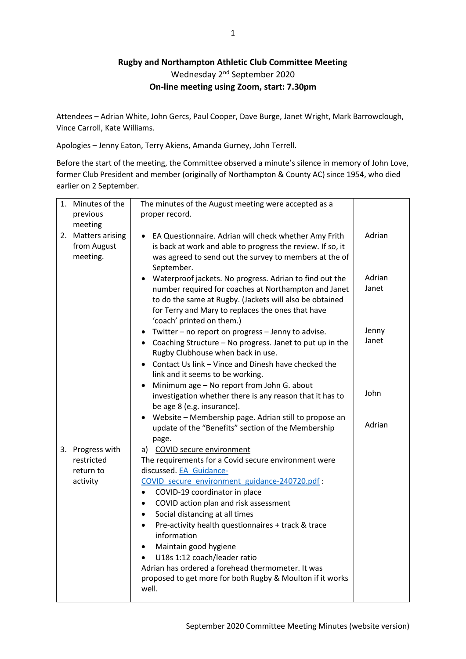## **Rugby and Northampton Athletic Club Committee Meeting** Wednesday 2<sup>nd</sup> September 2020 **On-line meeting using Zoom, start: 7.30pm**

Attendees – Adrian White, John Gercs, Paul Cooper, Dave Burge, Janet Wright, Mark Barrowclough, Vince Carroll, Kate Williams.

Apologies – Jenny Eaton, Terry Akiens, Amanda Gurney, John Terrell.

Before the start of the meeting, the Committee observed a minute's silence in memory of John Love, former Club President and member (originally of Northampton & County AC) since 1954, who died earlier on 2 September.

| 1. Minutes of the                                       | The minutes of the August meeting were accepted as a                                                                                                                                                                                                                                                                                                                                                                                                                                                                                                                                                   |                 |
|---------------------------------------------------------|--------------------------------------------------------------------------------------------------------------------------------------------------------------------------------------------------------------------------------------------------------------------------------------------------------------------------------------------------------------------------------------------------------------------------------------------------------------------------------------------------------------------------------------------------------------------------------------------------------|-----------------|
| previous                                                | proper record.                                                                                                                                                                                                                                                                                                                                                                                                                                                                                                                                                                                         |                 |
| meeting                                                 |                                                                                                                                                                                                                                                                                                                                                                                                                                                                                                                                                                                                        |                 |
| 2. Matters arising<br>from August<br>meeting.           | EA Questionnaire. Adrian will check whether Amy Frith<br>is back at work and able to progress the review. If so, it<br>was agreed to send out the survey to members at the of<br>September.                                                                                                                                                                                                                                                                                                                                                                                                            | Adrian          |
|                                                         | Waterproof jackets. No progress. Adrian to find out the<br>number required for coaches at Northampton and Janet<br>to do the same at Rugby. (Jackets will also be obtained<br>for Terry and Mary to replaces the ones that have<br>'coach' printed on them.)                                                                                                                                                                                                                                                                                                                                           | Adrian<br>Janet |
|                                                         | Twitter - no report on progress - Jenny to advise.<br>• Coaching Structure - No progress. Janet to put up in the<br>Rugby Clubhouse when back in use.<br>Contact Us link - Vince and Dinesh have checked the                                                                                                                                                                                                                                                                                                                                                                                           | Jenny<br>Janet  |
|                                                         | link and it seems to be working.<br>Minimum age - No report from John G. about<br>investigation whether there is any reason that it has to<br>be age 8 (e.g. insurance).<br>Website - Membership page. Adrian still to propose an                                                                                                                                                                                                                                                                                                                                                                      | John            |
|                                                         | update of the "Benefits" section of the Membership<br>page.                                                                                                                                                                                                                                                                                                                                                                                                                                                                                                                                            | Adrian          |
| 3. Progress with<br>restricted<br>return to<br>activity | a) COVID secure environment<br>The requirements for a Covid secure environment were<br>discussed. EA Guidance-<br>COVID secure environment guidance-240720.pdf :<br>COVID-19 coordinator in place<br>$\bullet$<br>COVID action plan and risk assessment<br>$\bullet$<br>Social distancing at all times<br>$\bullet$<br>Pre-activity health questionnaires + track & trace<br>$\bullet$<br>information<br>Maintain good hygiene<br>$\bullet$<br>U18s 1:12 coach/leader ratio<br>Adrian has ordered a forehead thermometer. It was<br>proposed to get more for both Rugby & Moulton if it works<br>well. |                 |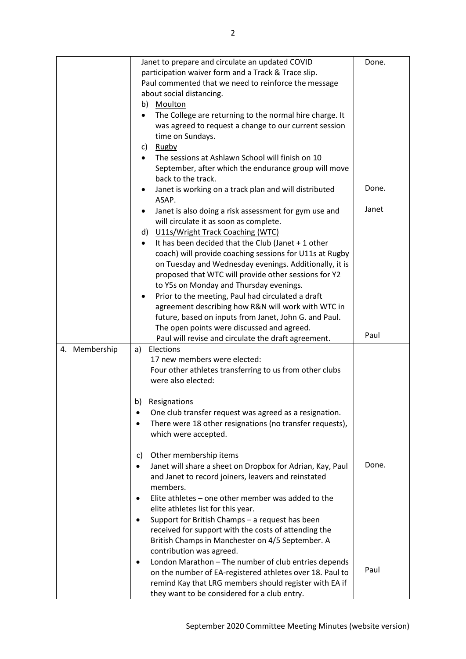|               | Janet to prepare and circulate an updated COVID                      | Done. |
|---------------|----------------------------------------------------------------------|-------|
|               | participation waiver form and a Track & Trace slip.                  |       |
|               | Paul commented that we need to reinforce the message                 |       |
|               | about social distancing.                                             |       |
|               | Moulton<br>b)                                                        |       |
|               | The College are returning to the normal hire charge. It<br>$\bullet$ |       |
|               | was agreed to request a change to our current session                |       |
|               | time on Sundays.                                                     |       |
|               | c) Rugby                                                             |       |
|               | The sessions at Ashlawn School will finish on 10<br>$\bullet$        |       |
|               | September, after which the endurance group will move                 |       |
|               | back to the track.                                                   |       |
|               |                                                                      | Done. |
|               | Janet is working on a track plan and will distributed<br>٠<br>ASAP.  |       |
|               |                                                                      | Janet |
|               | Janet is also doing a risk assessment for gym use and                |       |
|               | will circulate it as soon as complete.                               |       |
|               | d) U11s/Wright Track Coaching (WTC)                                  |       |
|               | It has been decided that the Club (Janet + 1 other<br>$\bullet$      |       |
|               | coach) will provide coaching sessions for U11s at Rugby              |       |
|               | on Tuesday and Wednesday evenings. Additionally, it is               |       |
|               | proposed that WTC will provide other sessions for Y2                 |       |
|               | to Y5s on Monday and Thursday evenings.                              |       |
|               | Prior to the meeting, Paul had circulated a draft                    |       |
|               | agreement describing how R&N will work with WTC in                   |       |
|               | future, based on inputs from Janet, John G. and Paul.                |       |
|               | The open points were discussed and agreed.                           |       |
|               | Paul will revise and circulate the draft agreement.                  | Paul  |
| 4. Membership | Elections<br>a)                                                      |       |
|               | 17 new members were elected:                                         |       |
|               | Four other athletes transferring to us from other clubs              |       |
|               |                                                                      |       |
|               | were also elected:                                                   |       |
|               |                                                                      |       |
|               | Resignations<br>b)                                                   |       |
|               | One club transfer request was agreed as a resignation.               |       |
|               | There were 18 other resignations (no transfer requests),             |       |
|               | which were accepted.                                                 |       |
|               |                                                                      |       |
|               | Other membership items<br>C)                                         |       |
|               | Janet will share a sheet on Dropbox for Adrian, Kay, Paul<br>٠       | Done. |
|               | and Janet to record joiners, leavers and reinstated                  |       |
|               | members.                                                             |       |
|               | Elite athletes - one other member was added to the<br>٠              |       |
|               | elite athletes list for this year.                                   |       |
|               | Support for British Champs - a request has been<br>٠                 |       |
|               | received for support with the costs of attending the                 |       |
|               | British Champs in Manchester on 4/5 September. A                     |       |
|               | contribution was agreed.                                             |       |
|               | London Marathon - The number of club entries depends<br>٠            |       |
|               | on the number of EA-registered athletes over 18. Paul to             | Paul  |
|               | remind Kay that LRG members should register with EA if               |       |